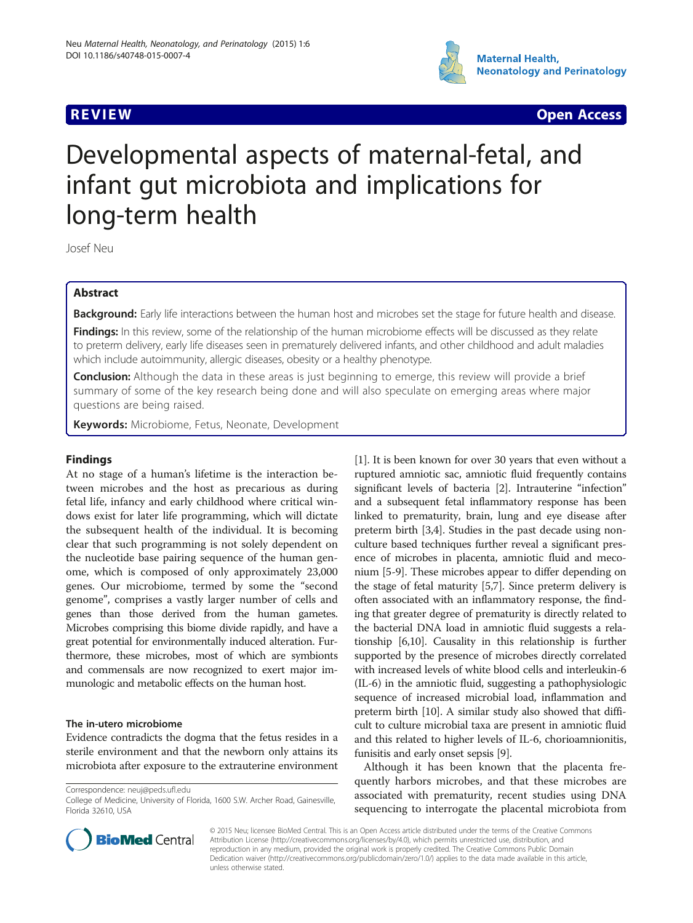



**REVIEW CONSTRUCTION CONSTRUCTION CONSTRUCTION CONSTRUCTS** 

# Developmental aspects of maternal-fetal, and infant gut microbiota and implications for long-term health

Josef Neu

# Abstract

Background: Early life interactions between the human host and microbes set the stage for future health and disease.

Findings: In this review, some of the relationship of the human microbiome effects will be discussed as they relate to preterm delivery, early life diseases seen in prematurely delivered infants, and other childhood and adult maladies which include autoimmunity, allergic diseases, obesity or a healthy phenotype.

**Conclusion:** Although the data in these areas is just beginning to emerge, this review will provide a brief summary of some of the key research being done and will also speculate on emerging areas where major questions are being raised.

Keywords: Microbiome, Fetus, Neonate, Development

## Findings

At no stage of a human's lifetime is the interaction between microbes and the host as precarious as during fetal life, infancy and early childhood where critical windows exist for later life programming, which will dictate the subsequent health of the individual. It is becoming clear that such programming is not solely dependent on the nucleotide base pairing sequence of the human genome, which is composed of only approximately 23,000 genes. Our microbiome, termed by some the "second genome", comprises a vastly larger number of cells and genes than those derived from the human gametes. Microbes comprising this biome divide rapidly, and have a great potential for environmentally induced alteration. Furthermore, these microbes, most of which are symbionts and commensals are now recognized to exert major immunologic and metabolic effects on the human host.

#### The in-utero microbiome

Evidence contradicts the dogma that the fetus resides in a sterile environment and that the newborn only attains its microbiota after exposure to the extrauterine environment

Correspondence: [neuj@peds.ufl.edu](mailto:neuj@peds.ufl.edu)

[[1\]](#page-5-0). It is been known for over 30 years that even without a ruptured amniotic sac, amniotic fluid frequently contains significant levels of bacteria [\[2\]](#page-5-0). Intrauterine "infection" and a subsequent fetal inflammatory response has been linked to prematurity, brain, lung and eye disease after preterm birth [[3](#page-5-0),[4](#page-5-0)]. Studies in the past decade using nonculture based techniques further reveal a significant presence of microbes in placenta, amniotic fluid and meconium [[5-9\]](#page-5-0). These microbes appear to differ depending on the stage of fetal maturity [\[5,7\]](#page-5-0). Since preterm delivery is often associated with an inflammatory response, the finding that greater degree of prematurity is directly related to the bacterial DNA load in amniotic fluid suggests a relationship [\[6,10](#page-5-0)]. Causality in this relationship is further supported by the presence of microbes directly correlated with increased levels of white blood cells and interleukin-6 (IL-6) in the amniotic fluid, suggesting a pathophysiologic sequence of increased microbial load, inflammation and preterm birth [[10](#page-5-0)]. A similar study also showed that difficult to culture microbial taxa are present in amniotic fluid and this related to higher levels of IL-6, chorioamnionitis, funisitis and early onset sepsis [\[9](#page-5-0)].

Although it has been known that the placenta frequently harbors microbes, and that these microbes are associated with prematurity, recent studies using DNA sequencing to interrogate the placental microbiota from



© 2015 Neu; licensee BioMed Central. This is an Open Access article distributed under the terms of the Creative Commons Attribution License (<http://creativecommons.org/licenses/by/4.0>), which permits unrestricted use, distribution, and reproduction in any medium, provided the original work is properly credited. The Creative Commons Public Domain Dedication waiver [\(http://creativecommons.org/publicdomain/zero/1.0/](http://creativecommons.org/publicdomain/zero/1.0/)) applies to the data made available in this article, unless otherwise stated.

College of Medicine, University of Florida, 1600 S.W. Archer Road, Gainesville, Florida 32610, USA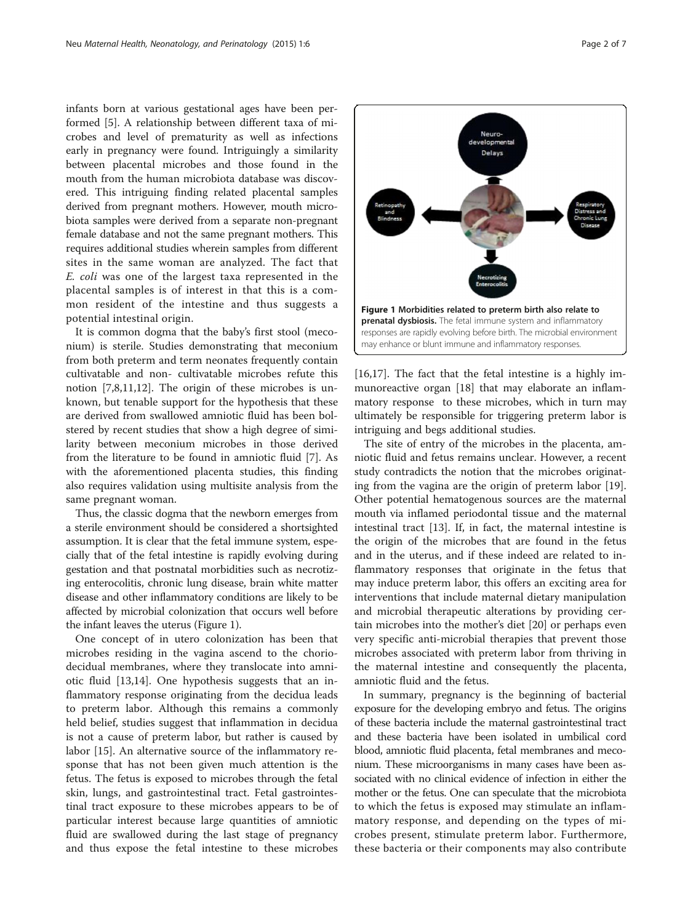infants born at various gestational ages have been performed [[5\]](#page-5-0). A relationship between different taxa of microbes and level of prematurity as well as infections early in pregnancy were found. Intriguingly a similarity between placental microbes and those found in the mouth from the human microbiota database was discovered. This intriguing finding related placental samples derived from pregnant mothers. However, mouth microbiota samples were derived from a separate non-pregnant female database and not the same pregnant mothers. This requires additional studies wherein samples from different sites in the same woman are analyzed. The fact that E. coli was one of the largest taxa represented in the placental samples is of interest in that this is a common resident of the intestine and thus suggests a potential intestinal origin.

It is common dogma that the baby's first stool (meconium) is sterile. Studies demonstrating that meconium from both preterm and term neonates frequently contain cultivatable and non- cultivatable microbes refute this notion [\[7,8,11,12\]](#page-5-0). The origin of these microbes is unknown, but tenable support for the hypothesis that these are derived from swallowed amniotic fluid has been bolstered by recent studies that show a high degree of similarity between meconium microbes in those derived from the literature to be found in amniotic fluid [[7\]](#page-5-0). As with the aforementioned placenta studies, this finding also requires validation using multisite analysis from the same pregnant woman.

Thus, the classic dogma that the newborn emerges from a sterile environment should be considered a shortsighted assumption. It is clear that the fetal immune system, especially that of the fetal intestine is rapidly evolving during gestation and that postnatal morbidities such as necrotizing enterocolitis, chronic lung disease, brain white matter disease and other inflammatory conditions are likely to be affected by microbial colonization that occurs well before the infant leaves the uterus (Figure 1).

One concept of in utero colonization has been that microbes residing in the vagina ascend to the choriodecidual membranes, where they translocate into amniotic fluid [\[13,14\]](#page-5-0). One hypothesis suggests that an inflammatory response originating from the decidua leads to preterm labor. Although this remains a commonly held belief, studies suggest that inflammation in decidua is not a cause of preterm labor, but rather is caused by labor [[15\]](#page-5-0). An alternative source of the inflammatory response that has not been given much attention is the fetus. The fetus is exposed to microbes through the fetal skin, lungs, and gastrointestinal tract. Fetal gastrointestinal tract exposure to these microbes appears to be of particular interest because large quantities of amniotic fluid are swallowed during the last stage of pregnancy and thus expose the fetal intestine to these microbes





[[16,17\]](#page-5-0). The fact that the fetal intestine is a highly immunoreactive organ [\[18\]](#page-5-0) that may elaborate an inflammatory response to these microbes, which in turn may ultimately be responsible for triggering preterm labor is intriguing and begs additional studies.

The site of entry of the microbes in the placenta, amniotic fluid and fetus remains unclear. However, a recent study contradicts the notion that the microbes originating from the vagina are the origin of preterm labor [\[19](#page-5-0)]. Other potential hematogenous sources are the maternal mouth via inflamed periodontal tissue and the maternal intestinal tract [\[13\]](#page-5-0). If, in fact, the maternal intestine is the origin of the microbes that are found in the fetus and in the uterus, and if these indeed are related to inflammatory responses that originate in the fetus that may induce preterm labor, this offers an exciting area for interventions that include maternal dietary manipulation and microbial therapeutic alterations by providing certain microbes into the mother's diet [\[20](#page-5-0)] or perhaps even very specific anti-microbial therapies that prevent those microbes associated with preterm labor from thriving in the maternal intestine and consequently the placenta, amniotic fluid and the fetus.

In summary, pregnancy is the beginning of bacterial exposure for the developing embryo and fetus. The origins of these bacteria include the maternal gastrointestinal tract and these bacteria have been isolated in umbilical cord blood, amniotic fluid placenta, fetal membranes and meconium. These microorganisms in many cases have been associated with no clinical evidence of infection in either the mother or the fetus. One can speculate that the microbiota to which the fetus is exposed may stimulate an inflammatory response, and depending on the types of microbes present, stimulate preterm labor. Furthermore, these bacteria or their components may also contribute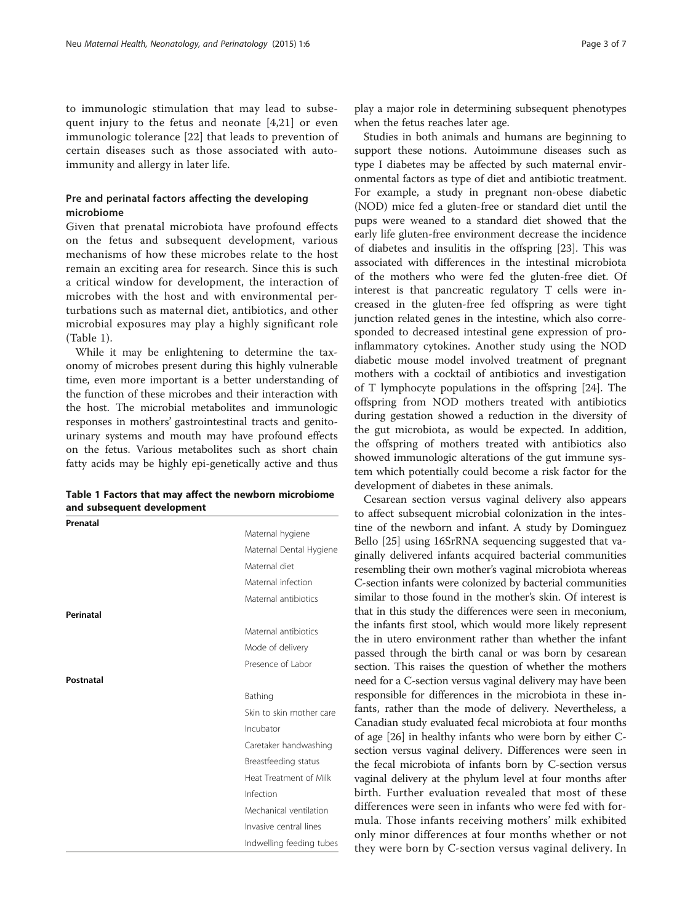to immunologic stimulation that may lead to subsequent injury to the fetus and neonate [\[4](#page-5-0),[21\]](#page-5-0) or even immunologic tolerance [\[22\]](#page-5-0) that leads to prevention of certain diseases such as those associated with autoimmunity and allergy in later life.

## Pre and perinatal factors affecting the developing microbiome

Given that prenatal microbiota have profound effects on the fetus and subsequent development, various mechanisms of how these microbes relate to the host remain an exciting area for research. Since this is such a critical window for development, the interaction of microbes with the host and with environmental perturbations such as maternal diet, antibiotics, and other microbial exposures may play a highly significant role (Table 1).

While it may be enlightening to determine the taxonomy of microbes present during this highly vulnerable time, even more important is a better understanding of the function of these microbes and their interaction with the host. The microbial metabolites and immunologic responses in mothers' gastrointestinal tracts and genitourinary systems and mouth may have profound effects on the fetus. Various metabolites such as short chain fatty acids may be highly epi-genetically active and thus

## Table 1 Factors that may affect the newborn microbiome and subsequent development

| Prenatal  |                          |
|-----------|--------------------------|
|           | Maternal hygiene         |
|           | Maternal Dental Hygiene  |
|           | Maternal diet            |
|           | Maternal infection       |
|           | Maternal antibiotics     |
| Perinatal |                          |
|           | Maternal antibiotics     |
|           | Mode of delivery         |
|           | Presence of Labor        |
| Postnatal |                          |
|           | Bathing                  |
|           | Skin to skin mother care |
|           | Incubator                |
|           | Caretaker handwashing    |
|           | Breastfeeding status     |
|           | Heat Treatment of Milk   |
|           | Infection                |
|           | Mechanical ventilation   |
|           | Invasive central lines   |
|           | Indwelling feeding tubes |

play a major role in determining subsequent phenotypes when the fetus reaches later age.

Studies in both animals and humans are beginning to support these notions. Autoimmune diseases such as type I diabetes may be affected by such maternal environmental factors as type of diet and antibiotic treatment. For example, a study in pregnant non-obese diabetic (NOD) mice fed a gluten-free or standard diet until the pups were weaned to a standard diet showed that the early life gluten-free environment decrease the incidence of diabetes and insulitis in the offspring [[23\]](#page-5-0). This was associated with differences in the intestinal microbiota of the mothers who were fed the gluten-free diet. Of interest is that pancreatic regulatory T cells were increased in the gluten-free fed offspring as were tight junction related genes in the intestine, which also corresponded to decreased intestinal gene expression of proinflammatory cytokines. Another study using the NOD diabetic mouse model involved treatment of pregnant mothers with a cocktail of antibiotics and investigation of T lymphocyte populations in the offspring [\[24\]](#page-5-0). The offspring from NOD mothers treated with antibiotics during gestation showed a reduction in the diversity of the gut microbiota, as would be expected. In addition, the offspring of mothers treated with antibiotics also showed immunologic alterations of the gut immune system which potentially could become a risk factor for the development of diabetes in these animals.

Cesarean section versus vaginal delivery also appears to affect subsequent microbial colonization in the intestine of the newborn and infant. A study by Dominguez Bello [[25](#page-5-0)] using 16SrRNA sequencing suggested that vaginally delivered infants acquired bacterial communities resembling their own mother's vaginal microbiota whereas C-section infants were colonized by bacterial communities similar to those found in the mother's skin. Of interest is that in this study the differences were seen in meconium, the infants first stool, which would more likely represent the in utero environment rather than whether the infant passed through the birth canal or was born by cesarean section. This raises the question of whether the mothers need for a C-section versus vaginal delivery may have been responsible for differences in the microbiota in these infants, rather than the mode of delivery. Nevertheless, a Canadian study evaluated fecal microbiota at four months of age [\[26](#page-5-0)] in healthy infants who were born by either Csection versus vaginal delivery. Differences were seen in the fecal microbiota of infants born by C-section versus vaginal delivery at the phylum level at four months after birth. Further evaluation revealed that most of these differences were seen in infants who were fed with formula. Those infants receiving mothers' milk exhibited only minor differences at four months whether or not they were born by C-section versus vaginal delivery. In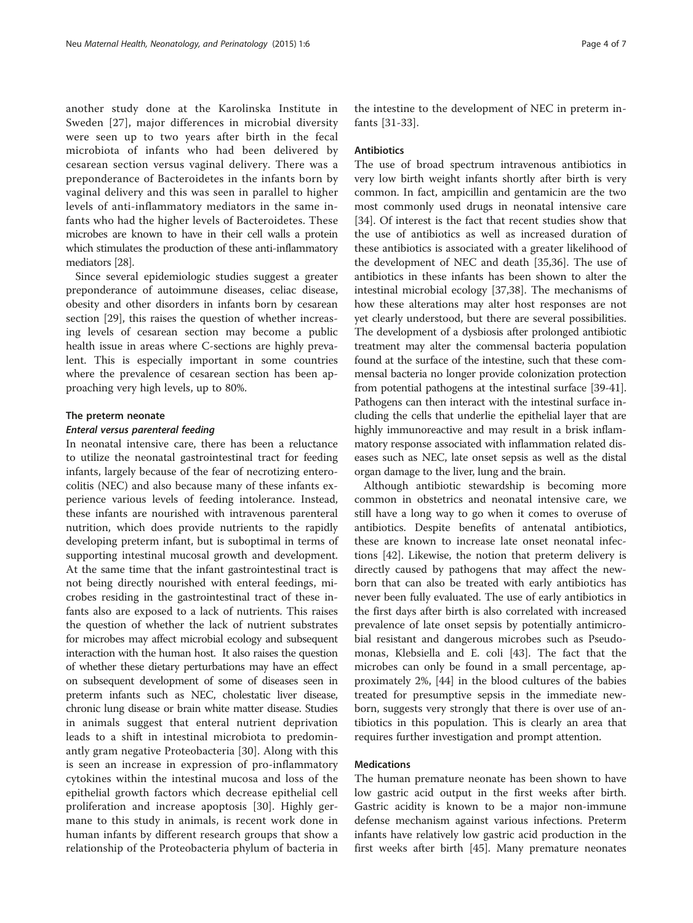another study done at the Karolinska Institute in Sweden [[27](#page-5-0)], major differences in microbial diversity were seen up to two years after birth in the fecal microbiota of infants who had been delivered by cesarean section versus vaginal delivery. There was a preponderance of Bacteroidetes in the infants born by vaginal delivery and this was seen in parallel to higher levels of anti-inflammatory mediators in the same infants who had the higher levels of Bacteroidetes. These microbes are known to have in their cell walls a protein which stimulates the production of these anti-inflammatory mediators [\[28\]](#page-5-0).

Since several epidemiologic studies suggest a greater preponderance of autoimmune diseases, celiac disease, obesity and other disorders in infants born by cesarean section [\[29](#page-5-0)], this raises the question of whether increasing levels of cesarean section may become a public health issue in areas where C-sections are highly prevalent. This is especially important in some countries where the prevalence of cesarean section has been approaching very high levels, up to 80%.

#### The preterm neonate

#### Enteral versus parenteral feeding

In neonatal intensive care, there has been a reluctance to utilize the neonatal gastrointestinal tract for feeding infants, largely because of the fear of necrotizing enterocolitis (NEC) and also because many of these infants experience various levels of feeding intolerance. Instead, these infants are nourished with intravenous parenteral nutrition, which does provide nutrients to the rapidly developing preterm infant, but is suboptimal in terms of supporting intestinal mucosal growth and development. At the same time that the infant gastrointestinal tract is not being directly nourished with enteral feedings, microbes residing in the gastrointestinal tract of these infants also are exposed to a lack of nutrients. This raises the question of whether the lack of nutrient substrates for microbes may affect microbial ecology and subsequent interaction with the human host. It also raises the question of whether these dietary perturbations may have an effect on subsequent development of some of diseases seen in preterm infants such as NEC, cholestatic liver disease, chronic lung disease or brain white matter disease. Studies in animals suggest that enteral nutrient deprivation leads to a shift in intestinal microbiota to predominantly gram negative Proteobacteria [[30\]](#page-5-0). Along with this is seen an increase in expression of pro-inflammatory cytokines within the intestinal mucosa and loss of the epithelial growth factors which decrease epithelial cell proliferation and increase apoptosis [[30\]](#page-5-0). Highly germane to this study in animals, is recent work done in human infants by different research groups that show a relationship of the Proteobacteria phylum of bacteria in

the intestine to the development of NEC in preterm infants [[31](#page-5-0)-[33\]](#page-5-0).

#### Antibiotics

The use of broad spectrum intravenous antibiotics in very low birth weight infants shortly after birth is very common. In fact, ampicillin and gentamicin are the two most commonly used drugs in neonatal intensive care [[34\]](#page-5-0). Of interest is the fact that recent studies show that the use of antibiotics as well as increased duration of these antibiotics is associated with a greater likelihood of the development of NEC and death [\[35,36\]](#page-5-0). The use of antibiotics in these infants has been shown to alter the intestinal microbial ecology [[37,38\]](#page-5-0). The mechanisms of how these alterations may alter host responses are not yet clearly understood, but there are several possibilities. The development of a dysbiosis after prolonged antibiotic treatment may alter the commensal bacteria population found at the surface of the intestine, such that these commensal bacteria no longer provide colonization protection from potential pathogens at the intestinal surface [[39](#page-5-0)-[41](#page-5-0)]. Pathogens can then interact with the intestinal surface including the cells that underlie the epithelial layer that are highly immunoreactive and may result in a brisk inflammatory response associated with inflammation related diseases such as NEC, late onset sepsis as well as the distal organ damage to the liver, lung and the brain.

Although antibiotic stewardship is becoming more common in obstetrics and neonatal intensive care, we still have a long way to go when it comes to overuse of antibiotics. Despite benefits of antenatal antibiotics, these are known to increase late onset neonatal infections [[42\]](#page-5-0). Likewise, the notion that preterm delivery is directly caused by pathogens that may affect the newborn that can also be treated with early antibiotics has never been fully evaluated. The use of early antibiotics in the first days after birth is also correlated with increased prevalence of late onset sepsis by potentially antimicrobial resistant and dangerous microbes such as Pseudomonas, Klebsiella and E. coli [\[43](#page-5-0)]. The fact that the microbes can only be found in a small percentage, approximately 2%, [[44](#page-5-0)] in the blood cultures of the babies treated for presumptive sepsis in the immediate newborn, suggests very strongly that there is over use of antibiotics in this population. This is clearly an area that requires further investigation and prompt attention.

#### Medications

The human premature neonate has been shown to have low gastric acid output in the first weeks after birth. Gastric acidity is known to be a major non-immune defense mechanism against various infections. Preterm infants have relatively low gastric acid production in the first weeks after birth [[45](#page-5-0)]. Many premature neonates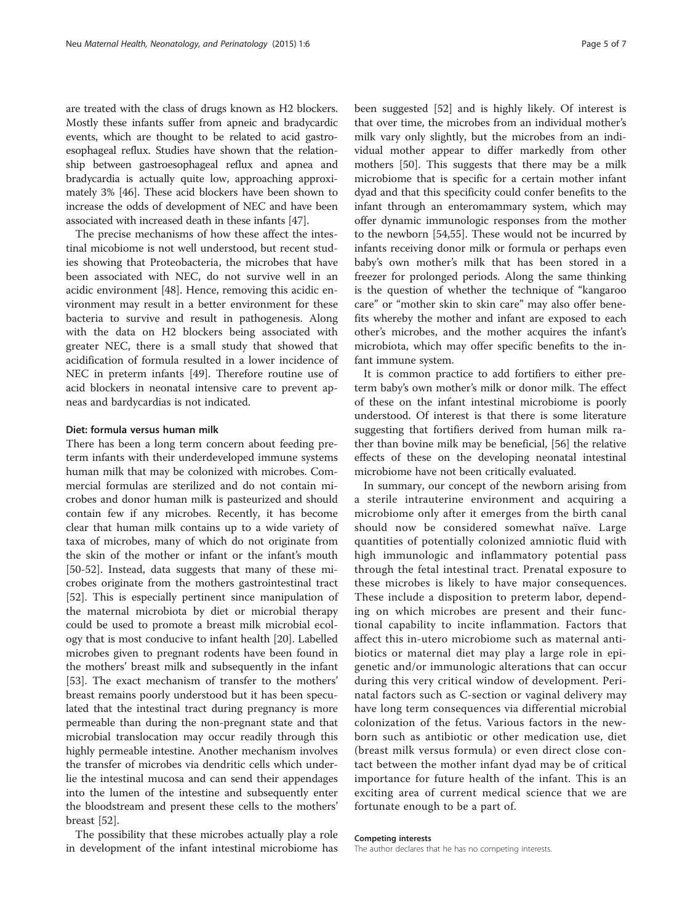are treated with the class of drugs known as H2 blockers. Mostly these infants suffer from apneic and bradycardic events, which are thought to be related to acid gastroesophageal reflux. Studies have shown that the relationship between gastroesophageal reflux and apnea and bradycardia is actually quite low, approaching approximately 3% [\[46\]](#page-5-0). These acid blockers have been shown to increase the odds of development of NEC and have been associated with increased death in these infants [[47\]](#page-5-0).

The precise mechanisms of how these affect the intestinal micobiome is not well understood, but recent studies showing that Proteobacteria, the microbes that have been associated with NEC, do not survive well in an acidic environment [[48](#page-5-0)]. Hence, removing this acidic environment may result in a better environment for these bacteria to survive and result in pathogenesis. Along with the data on H2 blockers being associated with greater NEC, there is a small study that showed that acidification of formula resulted in a lower incidence of NEC in preterm infants [[49\]](#page-5-0). Therefore routine use of acid blockers in neonatal intensive care to prevent apneas and bardycardias is not indicated.

## Diet: formula versus human milk

There has been a long term concern about feeding preterm infants with their underdeveloped immune systems human milk that may be colonized with microbes. Commercial formulas are sterilized and do not contain microbes and donor human milk is pasteurized and should contain few if any microbes. Recently, it has become clear that human milk contains up to a wide variety of taxa of microbes, many of which do not originate from the skin of the mother or infant or the infant's mouth [[50-52](#page-6-0)]. Instead, data suggests that many of these microbes originate from the mothers gastrointestinal tract [[52\]](#page-6-0). This is especially pertinent since manipulation of the maternal microbiota by diet or microbial therapy could be used to promote a breast milk microbial ecology that is most conducive to infant health [\[20](#page-5-0)]. Labelled microbes given to pregnant rodents have been found in the mothers' breast milk and subsequently in the infant [[53\]](#page-6-0). The exact mechanism of transfer to the mothers' breast remains poorly understood but it has been speculated that the intestinal tract during pregnancy is more permeable than during the non-pregnant state and that microbial translocation may occur readily through this highly permeable intestine. Another mechanism involves the transfer of microbes via dendritic cells which underlie the intestinal mucosa and can send their appendages into the lumen of the intestine and subsequently enter the bloodstream and present these cells to the mothers' breast [\[52](#page-6-0)].

The possibility that these microbes actually play a role in development of the infant intestinal microbiome has

been suggested [[52\]](#page-6-0) and is highly likely. Of interest is that over time, the microbes from an individual mother's milk vary only slightly, but the microbes from an individual mother appear to differ markedly from other mothers [\[50](#page-6-0)]. This suggests that there may be a milk microbiome that is specific for a certain mother infant dyad and that this specificity could confer benefits to the infant through an enteromammary system, which may offer dynamic immunologic responses from the mother to the newborn [[54,55\]](#page-6-0). These would not be incurred by infants receiving donor milk or formula or perhaps even baby's own mother's milk that has been stored in a freezer for prolonged periods. Along the same thinking is the question of whether the technique of "kangaroo care" or "mother skin to skin care" may also offer benefits whereby the mother and infant are exposed to each other's microbes, and the mother acquires the infant's microbiota, which may offer specific benefits to the infant immune system.

It is common practice to add fortifiers to either preterm baby's own mother's milk or donor milk. The effect of these on the infant intestinal microbiome is poorly understood. Of interest is that there is some literature suggesting that fortifiers derived from human milk rather than bovine milk may be beneficial, [[56\]](#page-6-0) the relative effects of these on the developing neonatal intestinal microbiome have not been critically evaluated.

In summary, our concept of the newborn arising from a sterile intrauterine environment and acquiring a microbiome only after it emerges from the birth canal should now be considered somewhat naïve. Large quantities of potentially colonized amniotic fluid with high immunologic and inflammatory potential pass through the fetal intestinal tract. Prenatal exposure to these microbes is likely to have major consequences. These include a disposition to preterm labor, depending on which microbes are present and their functional capability to incite inflammation. Factors that affect this in-utero microbiome such as maternal antibiotics or maternal diet may play a large role in epigenetic and/or immunologic alterations that can occur during this very critical window of development. Perinatal factors such as C-section or vaginal delivery may have long term consequences via differential microbial colonization of the fetus. Various factors in the newborn such as antibiotic or other medication use, diet (breast milk versus formula) or even direct close contact between the mother infant dyad may be of critical importance for future health of the infant. This is an exciting area of current medical science that we are fortunate enough to be a part of.

#### Competing interests

The author declares that he has no competing interests.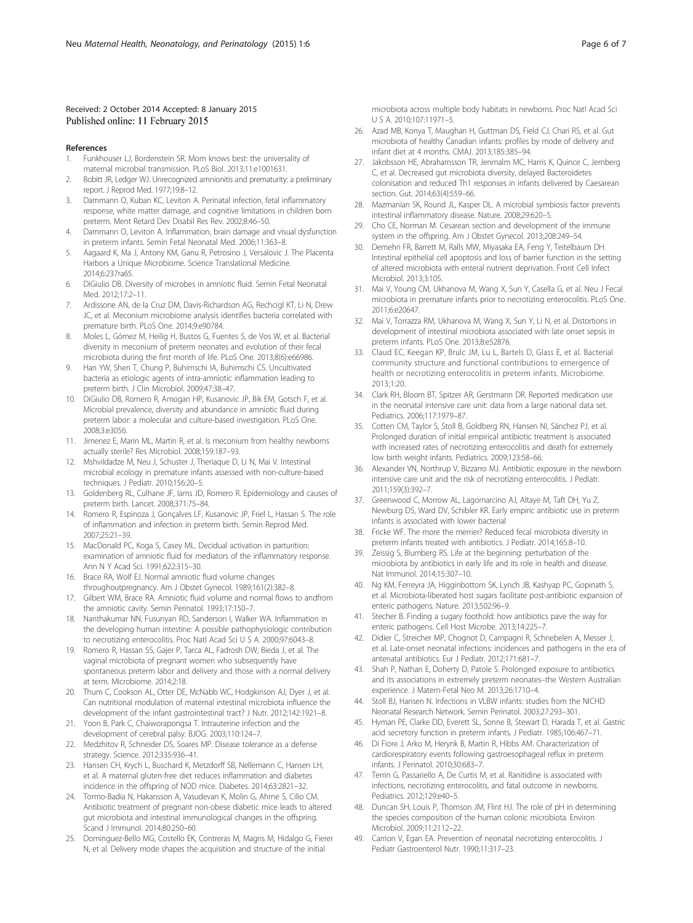#### <span id="page-5-0"></span>Received: 2 October 2014 Accepted: 8 January 2015 Published online: 11 February 2015

#### References

- 1. Funkhouser LJ, Bordenstein SR. Mom knows best: the universality of maternal microbial transmission. PLoS Biol. 2013;11:e1001631.
- 2. Bobitt JR, Ledger WJ. Unrecognized amnionitis and prematurity: a preliminary report. J Reprod Med. 1977;19:8–12.
- Dammann O, Kuban KC, Leviton A. Perinatal infection, fetal inflammatory response, white matter damage, and cognitive limitations in children born preterm. Ment Retard Dev Disabil Res Rev. 2002;8:46–50.
- 4. Dammann O, Leviton A. Inflammation, brain damage and visual dysfunction in preterm infants. Semin Fetal Neonatal Med. 2006;11:363–8.
- 5. Aagaard K, Ma J, Antony KM, Ganu R, Petrosino J, Versalovic J. The Placenta Harbors a Unique Microbiome. Science Translational Medicine. 2014;6:237ra65.
- 6. DiGiulio DB. Diversity of microbes in amniotic fluid. Semin Fetal Neonatal Med. 2012;17:2–11.
- 7. Ardissone AN, de la Cruz DM, Davis-Richardson AG, Rechcigl KT, Li N, Drew JC, et al. Meconium microbiome analysis identifies bacteria correlated with premature birth. PLoS One. 2014;9:e90784.
- 8. Moles L, Gómez M, Heilig H, Bustos G, Fuentes S, de Vos W, et al. Bacterial diversity in meconium of preterm neonates and evolution of their fecal microbiota during the first month of life. PLoS One. 2013;8(6):e66986.
- 9. Han YW, Shen T, Chung P, Buhimschi IA, Buhimschi CS. Uncultivated bacteria as etiologic agents of intra-amniotic inflammation leading to preterm birth. J Clin Microbiol. 2009;47:38–47.
- 10. DiGiulio DB, Romero R, Amogan HP, Kusanovic JP, Bik EM, Gotsch F, et al. Microbial prevalence, diversity and abundance in amniotic fluid during preterm labor: a molecular and culture-based investigation. PLoS One. 2008;3:e3056.
- 11. Jimenez E, Marin ML, Martin R, et al. Is meconium from healthy newborns actually sterile? Res Microbiol. 2008;159:187–93.
- 12. Mshvildadze M, Neu J, Schuster J, Theriaque D, Li N, Mai V. Intestinal microbial ecology in premature infants assessed with non-culture-based techniques. J Pediatr. 2010;156:20–5.
- 13. Goldenberg RL, Culhane JF, Iams JD, Romero R. Epidemiology and causes of preterm birth. Lancet. 2008;371:75–84.
- 14. Romero R, Espinoza J, Gonçalves LF, Kusanovic JP, Friel L, Hassan S. The role of inflammation and infection in preterm birth. Semin Reprod Med. 2007;25:21–39.
- 15. MacDonald PC, Koga S, Casey ML. Decidual activation in parturition: examination of amniotic fluid for mediators of the inflammatory response. Ann N Y Acad Sci. 1991;622:315–30.
- 16. Brace RA, Wolf EJ. Normal amniotic fluid volume changes throughoutpregnancy. Am J Obstet Gynecol. 1989;161(2):382–8.
- 17. Gilbert WM, Brace RA. Amniotic fluid volume and normal flows to andfrom the amniotic cavity. Semin Perinatol. 1993;17:150–7.
- 18. Nanthakumar NN, Fusunyan RD, Sanderson I, Walker WA. Inflammation in the developing human intestine: A possible pathophysiologic contribution to necrotizing enterocolitis. Proc Natl Acad Sci U S A. 2000;97:6043–8.
- 19. Romero R, Hassan SS, Gajer P, Tarca AL, Fadrosh DW, Bieda J, et al. The vaginal microbiota of pregnant women who subsequently have spontaneous preterm labor and delivery and those with a normal delivery at term. Microbiome. 2014;2:18.
- 20. Thum C, Cookson AL, Otter DE, McNabb WC, Hodgkinson AJ, Dyer J, et al. Can nutritional modulation of maternal intestinal microbiota influence the development of the infant gastrointestinal tract? J Nutr. 2012;142:1921–8.
- 21. Yoon B, Park C, Chaiworapongsa T. Intrauterine infection and the development of cerebral palsy. BJOG. 2003;110:124–7.
- 22. Medzhitov R, Schneider DS, Soares MP. Disease tolerance as a defense strategy. Science. 2012;335:936–41.
- 23. Hansen CH, Krych L, Buschard K, Metzdorff SB, Nellemann C, Hansen LH, et al. A maternal gluten-free diet reduces inflammation and diabetes incidence in the offspring of NOD mice. Diabetes. 2014;63:2821–32.
- 24. Tormo-Badia N, Hakansson A, Vasudevan K, Molin G, Ahrne S, Cilio CM. Antibiotic treatment of pregnant non-obese diabetic mice leads to altered gut microbiota and intestinal immunological changes in the offspring. Scand J Immunol. 2014;80:250–60.
- 25. Dominguez-Bello MG, Costello EK, Contreras M, Magris M, Hidalgo G, Fierer N, et al. Delivery mode shapes the acquisition and structure of the initial

microbiota across multiple body habitats in newborns. Proc Natl Acad Sci U S A. 2010;107:11971–5.

- 26. Azad MB, Konya T, Maughan H, Guttman DS, Field CJ, Chari RS, et al. Gut microbiota of healthy Canadian infants: profiles by mode of delivery and infant diet at 4 months. CMAJ. 2013;185:385–94.
- 27. Jakobsson HE, Abrahamsson TR, Jenmalm MC, Harris K, Quince C, Jernberg C, et al. Decreased gut microbiota diversity, delayed Bacteroidetes colonisation and reduced Th1 responses in infants delivered by Caesarean section. Gut. 2014;63(4):559–66.
- 28. Mazmanian SK, Round JL, Kasper DL. A microbial symbiosis factor prevents intestinal inflammatory disease. Nature. 2008;29:620–5.
- 29. Cho CE, Norman M. Cesarean section and development of the immune system in the offspring. Am J Obstet Gynecol. 2013;208:249–54.
- 30. Demehri FR, Barrett M, Ralls MW, Miyasaka EA, Feng Y, Teitelbaum DH. Intestinal epithelial cell apoptosis and loss of barrier function in the setting of altered microbiota with enteral nutrient deprivation. Front Cell Infect Microbiol. 2013;3:105.
- 31. Mai V, Young CM, Ukhanova M, Wang X, Sun Y, Casella G, et al. Neu J Fecal microbiota in premature infants prior to necrotizing enterocolitis. PLoS One. 2011;6:e20647.
- 32. Mai V, Torrazza RM, Ukhanova M, Wang X, Sun Y, Li N, et al. Distortions in development of intestinal microbiota associated with late onset sepsis in preterm infants. PLoS One. 2013;8:e52876.
- 33. Claud EC, Keegan KP, Brulc JM, Lu L, Bartels D, Glass E, et al. Bacterial community structure and functional contributions to emergence of health or necrotizing enterocolitis in preterm infants. Microbiome. 2013;1:20.
- 34. Clark RH, Bloom BT, Spitzer AR, Gerstmann DR. Reported medication use in the neonatal intensive care unit: data from a large national data set. Pediatrics. 2006;117:1979–87.
- 35. Cotten CM, Taylor S, Stoll B, Goldberg RN, Hansen NI, Sánchez PJ, et al. Prolonged duration of initial empirical antibiotic treatment is associated with increased rates of necrotizing enterocolitis and death for extremely low birth weight infants. Pediatrics. 2009;123:58–66.
- 36. Alexander VN, Northrup V, Bizzarro MJ. Antibiotic exposure in the newborn intensive care unit and the risk of necrotizing enterocolitis. J Pediatr. 2011;159(3):392–7.
- 37. Greenwood C, Morrow AL, Lagomarcino AJ, Altaye M, Taft DH, Yu Z, Newburg DS, Ward DV, Schibler KR. Early empiric antibiotic use in preterm infants is associated with lower bacterial
- 38. Fricke WF. The more the merrier? Reduced fecal microbiota diversity in preterm infants treated with antibiotics. J Pediatr. 2014;165:8–10.
- 39. Zeissig S, Blumberg RS. Life at the beginning: perturbation of the microbiota by antibiotics in early life and its role in health and disease. Nat Immunol. 2014;15:307–10.
- 40. Ng KM, Ferreyra JA, Higginbottom SK, Lynch JB, Kashyap PC, Gopinath S, et al. Microbiota-liberated host sugars facilitate post-antibiotic expansion of enteric pathogens. Nature. 2013;502:96–9.
- 41. Stecher B. Finding a sugary foothold: how antibiotics pave the way for enteric pathogens. Cell Host Microbe. 2013;14:225–7.
- 42. Didier C, Streicher MP, Chognot D, Campagni R, Schnebelen A, Messer J, et al. Late-onset neonatal infections: incidences and pathogens in the era of antenatal antibiotics. Eur J Pediatr. 2012;171:681–7.
- 43. Shah P, Nathan E, Doherty D, Patole S. Prolonged exposure to antibiotics and its associations in extremely preterm neonates–the Western Australian experience. J Matern-Fetal Neo M. 2013;26:1710–4.
- 44. Stoll BJ, Hansen N. Infections in VLBW infants: studies from the NICHD Neonatal Research Network. Semin Perinatol. 2003;27:293–301.
- 45. Hyman PE, Clarke DD, Everett SL, Sonne B, Stewart D, Harada T, et al. Gastric acid secretory function in preterm infants. J Pediatr. 1985;106:467–71.
- 46. Di Fiore J, Arko M, Herynk B, Martin R, Hibbs AM. Characterization of cardiorespiratory events following gastroesophageal reflux in preterm infants. J Perinatol. 2010;30:683–7.
- 47. Terrin G, Passariello A, De Curtis M, et al. Ranitidine is associated with infections, necrotizing enterocolitis, and fatal outcome in newborns. Pediatrics. 2012;129:e40–5.
- 48. Duncan SH, Louis P, Thomson JM, Flint HJ. The role of pH in determining the species composition of the human colonic microbiota. Environ Microbiol. 2009;11:2112–22.
- 49. Carrion V, Egan EA. Prevention of neonatal necrotizing enterocolitis. J Pediatr Gastroenterol Nutr. 1990;11:317–23.